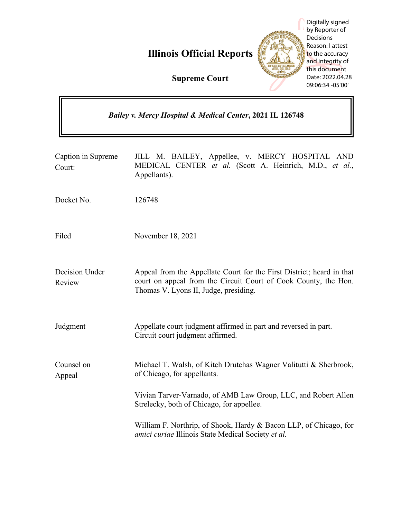**Illinois Official Reports**



Digitally signed by Reporter of **Decisions** Reason: I attest to the accuracy and integrity of this document Date: 2022.04.28 09:06:34 -05'00'

**Supreme Court**

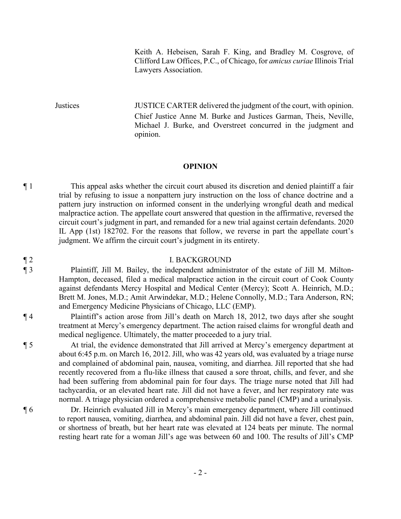Keith A. Hebeisen, Sarah F. King, and Bradley M. Cosgrove, of Clifford Law Offices, P.C., of Chicago, for *amicus curiae* Illinois Trial Lawyers Association.

Justices JUSTICE CARTER delivered the judgment of the court, with opinion. Chief Justice Anne M. Burke and Justices Garman, Theis, Neville, Michael J. Burke, and Overstreet concurred in the judgment and opinion.

### **OPINION**

¶ 1 This appeal asks whether the circuit court abused its discretion and denied plaintiff a fair trial by refusing to issue a nonpattern jury instruction on the loss of chance doctrine and a pattern jury instruction on informed consent in the underlying wrongful death and medical malpractice action. The appellate court answered that question in the affirmative, reversed the circuit court's judgment in part, and remanded for a new trial against certain defendants. 2020 IL App (1st) 182702. For the reasons that follow, we reverse in part the appellate court's judgment. We affirm the circuit court's judgment in its entirety.

### ¶ 2 I. BACKGROUND

¶ 3 Plaintiff, Jill M. Bailey, the independent administrator of the estate of Jill M. Milton-Hampton, deceased, filed a medical malpractice action in the circuit court of Cook County against defendants Mercy Hospital and Medical Center (Mercy); Scott A. Heinrich, M.D.; Brett M. Jones, M.D.; Amit Arwindekar, M.D.; Helene Connolly, M.D.; Tara Anderson, RN; and Emergency Medicine Physicians of Chicago, LLC (EMP).

¶ 4 Plaintiff's action arose from Jill's death on March 18, 2012, two days after she sought treatment at Mercy's emergency department. The action raised claims for wrongful death and medical negligence. Ultimately, the matter proceeded to a jury trial.

¶ 5 At trial, the evidence demonstrated that Jill arrived at Mercy's emergency department at about 6:45 p.m. on March 16, 2012. Jill, who was 42 years old, was evaluated by a triage nurse and complained of abdominal pain, nausea, vomiting, and diarrhea. Jill reported that she had recently recovered from a flu-like illness that caused a sore throat, chills, and fever, and she had been suffering from abdominal pain for four days. The triage nurse noted that Jill had tachycardia, or an elevated heart rate. Jill did not have a fever, and her respiratory rate was normal. A triage physician ordered a comprehensive metabolic panel (CMP) and a urinalysis.

¶ 6 Dr. Heinrich evaluated Jill in Mercy's main emergency department, where Jill continued to report nausea, vomiting, diarrhea, and abdominal pain. Jill did not have a fever, chest pain, or shortness of breath, but her heart rate was elevated at 124 beats per minute. The normal resting heart rate for a woman Jill's age was between 60 and 100. The results of Jill's CMP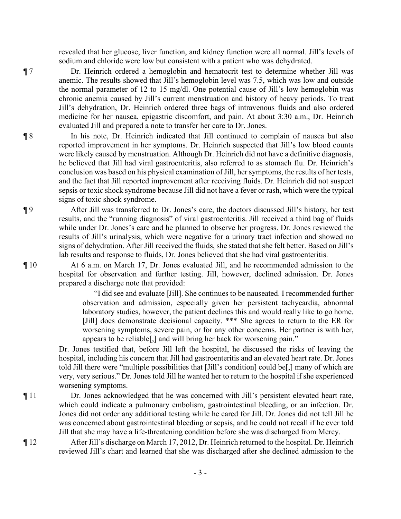revealed that her glucose, liver function, and kidney function were all normal. Jill's levels of sodium and chloride were low but consistent with a patient who was dehydrated.

¶ 7 Dr. Heinrich ordered a hemoglobin and hematocrit test to determine whether Jill was anemic. The results showed that Jill's hemoglobin level was 7.5, which was low and outside the normal parameter of 12 to 15 mg/dl. One potential cause of Jill's low hemoglobin was chronic anemia caused by Jill's current menstruation and history of heavy periods. To treat Jill's dehydration, Dr. Heinrich ordered three bags of intravenous fluids and also ordered medicine for her nausea, epigastric discomfort, and pain. At about 3:30 a.m., Dr. Heinrich evaluated Jill and prepared a note to transfer her care to Dr. Jones.

¶ 8 In his note, Dr. Heinrich indicated that Jill continued to complain of nausea but also reported improvement in her symptoms. Dr. Heinrich suspected that Jill's low blood counts were likely caused by menstruation. Although Dr. Heinrich did not have a definitive diagnosis, he believed that Jill had viral gastroenteritis, also referred to as stomach flu. Dr. Heinrich's conclusion was based on his physical examination of Jill, her symptoms, the results of her tests, and the fact that Jill reported improvement after receiving fluids. Dr. Heinrich did not suspect sepsis or toxic shock syndrome because Jill did not have a fever or rash, which were the typical signs of toxic shock syndrome.

¶ 9 After Jill was transferred to Dr. Jones's care, the doctors discussed Jill's history, her test results, and the "running diagnosis" of viral gastroenteritis. Jill received a third bag of fluids while under Dr. Jones's care and he planned to observe her progress. Dr. Jones reviewed the results of Jill's urinalysis, which were negative for a urinary tract infection and showed no signs of dehydration. After Jill received the fluids, she stated that she felt better. Based on Jill's lab results and response to fluids, Dr. Jones believed that she had viral gastroenteritis.

¶ 10 At 6 a.m. on March 17, Dr. Jones evaluated Jill, and he recommended admission to the hospital for observation and further testing. Jill, however, declined admission. Dr. Jones prepared a discharge note that provided:

> "I did see and evaluate [Jill]. She continues to be nauseated. I recommended further observation and admission, especially given her persistent tachycardia, abnormal laboratory studies, however, the patient declines this and would really like to go home. [Jill] does demonstrate decisional capacity. \*\*\* She agrees to return to the ER for worsening symptoms, severe pain, or for any other concerns. Her partner is with her, appears to be reliable[,] and will bring her back for worsening pain."

Dr. Jones testified that, before Jill left the hospital, he discussed the risks of leaving the hospital, including his concern that Jill had gastroenteritis and an elevated heart rate. Dr. Jones told Jill there were "multiple possibilities that [Jill's condition] could be[,] many of which are very, very serious." Dr. Jones told Jill he wanted her to return to the hospital if she experienced worsening symptoms.

¶ 11 Dr. Jones acknowledged that he was concerned with Jill's persistent elevated heart rate, which could indicate a pulmonary embolism, gastrointestinal bleeding, or an infection. Dr. Jones did not order any additional testing while he cared for Jill. Dr. Jones did not tell Jill he was concerned about gastrointestinal bleeding or sepsis, and he could not recall if he ever told Jill that she may have a life-threatening condition before she was discharged from Mercy.

¶ 12 After Jill's discharge on March 17, 2012, Dr. Heinrich returned to the hospital. Dr. Heinrich reviewed Jill's chart and learned that she was discharged after she declined admission to the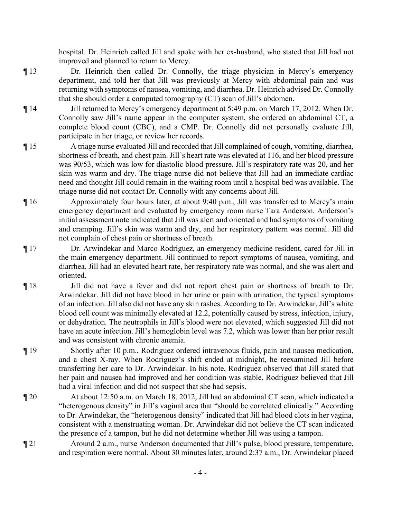hospital. Dr. Heinrich called Jill and spoke with her ex-husband, who stated that Jill had not improved and planned to return to Mercy.

- ¶ 13 Dr. Heinrich then called Dr. Connolly, the triage physician in Mercy's emergency department, and told her that Jill was previously at Mercy with abdominal pain and was returning with symptoms of nausea, vomiting, and diarrhea. Dr. Heinrich advised Dr. Connolly that she should order a computed tomography (CT) scan of Jill's abdomen.
- ¶ 14 Jill returned to Mercy's emergency department at 5:49 p.m. on March 17, 2012. When Dr. Connolly saw Jill's name appear in the computer system, she ordered an abdominal CT, a complete blood count (CBC), and a CMP. Dr. Connolly did not personally evaluate Jill, participate in her triage, or review her records.
- ¶ 15 A triage nurse evaluated Jill and recorded that Jill complained of cough, vomiting, diarrhea, shortness of breath, and chest pain. Jill's heart rate was elevated at 116, and her blood pressure was 90/53, which was low for diastolic blood pressure. Jill's respiratory rate was 20, and her skin was warm and dry. The triage nurse did not believe that Jill had an immediate cardiac need and thought Jill could remain in the waiting room until a hospital bed was available. The triage nurse did not contact Dr. Connolly with any concerns about Jill.
- ¶ 16 Approximately four hours later, at about 9:40 p.m., Jill was transferred to Mercy's main emergency department and evaluated by emergency room nurse Tara Anderson. Anderson's initial assessment note indicated that Jill was alert and oriented and had symptoms of vomiting and cramping. Jill's skin was warm and dry, and her respiratory pattern was normal. Jill did not complain of chest pain or shortness of breath.
- ¶ 17 Dr. Arwindekar and Marco Rodriguez, an emergency medicine resident, cared for Jill in the main emergency department. Jill continued to report symptoms of nausea, vomiting, and diarrhea. Jill had an elevated heart rate, her respiratory rate was normal, and she was alert and oriented.
- ¶ 18 Jill did not have a fever and did not report chest pain or shortness of breath to Dr. Arwindekar. Jill did not have blood in her urine or pain with urination, the typical symptoms of an infection. Jill also did not have any skin rashes. According to Dr. Arwindekar, Jill's white blood cell count was minimally elevated at 12.2, potentially caused by stress, infection, injury, or dehydration. The neutrophils in Jill's blood were not elevated, which suggested Jill did not have an acute infection. Jill's hemoglobin level was 7.2, which was lower than her prior result and was consistent with chronic anemia.
- ¶ 19 Shortly after 10 p.m., Rodriguez ordered intravenous fluids, pain and nausea medication, and a chest X-ray. When Rodriguez's shift ended at midnight, he reexamined Jill before transferring her care to Dr. Arwindekar. In his note, Rodriguez observed that Jill stated that her pain and nausea had improved and her condition was stable. Rodriguez believed that Jill had a viral infection and did not suspect that she had sepsis.
- ¶ 20 At about 12:50 a.m. on March 18, 2012, Jill had an abdominal CT scan, which indicated a "heterogenous density" in Jill's vaginal area that "should be correlated clinically." According to Dr. Arwindekar, the "heterogenous density" indicated that Jill had blood clots in her vagina, consistent with a menstruating woman. Dr. Arwindekar did not believe the CT scan indicated the presence of a tampon, but he did not determine whether Jill was using a tampon.
- ¶ 21 Around 2 a.m., nurse Anderson documented that Jill's pulse, blood pressure, temperature, and respiration were normal. About 30 minutes later, around 2:37 a.m., Dr. Arwindekar placed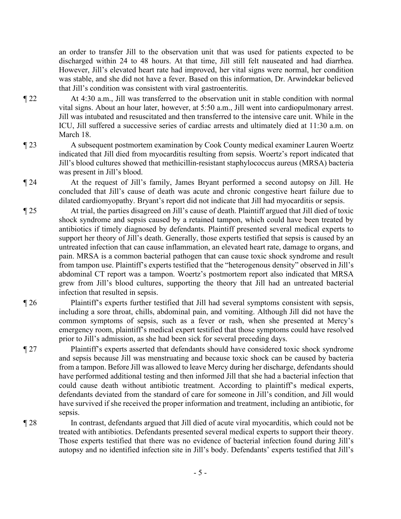an order to transfer Jill to the observation unit that was used for patients expected to be discharged within 24 to 48 hours. At that time, Jill still felt nauseated and had diarrhea. However, Jill's elevated heart rate had improved, her vital signs were normal, her condition was stable, and she did not have a fever. Based on this information, Dr. Arwindekar believed that Jill's condition was consistent with viral gastroenteritis.

- ¶ 22 At 4:30 a.m., Jill was transferred to the observation unit in stable condition with normal vital signs. About an hour later, however, at 5:50 a.m., Jill went into cardiopulmonary arrest. Jill was intubated and resuscitated and then transferred to the intensive care unit. While in the ICU, Jill suffered a successive series of cardiac arrests and ultimately died at 11:30 a.m. on March 18.
- ¶ 23 A subsequent postmortem examination by Cook County medical examiner Lauren Woertz indicated that Jill died from myocarditis resulting from sepsis. Woertz's report indicated that Jill's blood cultures showed that methicillin-resistant staphylococcus aureus (MRSA) bacteria was present in Jill's blood.
- ¶ 24 At the request of Jill's family, James Bryant performed a second autopsy on Jill. He concluded that Jill's cause of death was acute and chronic congestive heart failure due to dilated cardiomyopathy. Bryant's report did not indicate that Jill had myocarditis or sepsis.
- ¶ 25 At trial, the parties disagreed on Jill's cause of death. Plaintiff argued that Jill died of toxic shock syndrome and sepsis caused by a retained tampon, which could have been treated by antibiotics if timely diagnosed by defendants. Plaintiff presented several medical experts to support her theory of Jill's death. Generally, those experts testified that sepsis is caused by an untreated infection that can cause inflammation, an elevated heart rate, damage to organs, and pain. MRSA is a common bacterial pathogen that can cause toxic shock syndrome and result from tampon use. Plaintiff's experts testified that the "heterogenous density" observed in Jill's abdominal CT report was a tampon. Woertz's postmortem report also indicated that MRSA grew from Jill's blood cultures, supporting the theory that Jill had an untreated bacterial infection that resulted in sepsis.
- ¶ 26 Plaintiff's experts further testified that Jill had several symptoms consistent with sepsis, including a sore throat, chills, abdominal pain, and vomiting. Although Jill did not have the common symptoms of sepsis, such as a fever or rash, when she presented at Mercy's emergency room, plaintiff's medical expert testified that those symptoms could have resolved prior to Jill's admission, as she had been sick for several preceding days.
- ¶ 27 Plaintiff's experts asserted that defendants should have considered toxic shock syndrome and sepsis because Jill was menstruating and because toxic shock can be caused by bacteria from a tampon. Before Jill was allowed to leave Mercy during her discharge, defendants should have performed additional testing and then informed Jill that she had a bacterial infection that could cause death without antibiotic treatment. According to plaintiff's medical experts, defendants deviated from the standard of care for someone in Jill's condition, and Jill would have survived if she received the proper information and treatment, including an antibiotic, for sepsis.
- ¶ 28 In contrast, defendants argued that Jill died of acute viral myocarditis, which could not be treated with antibiotics. Defendants presented several medical experts to support their theory. Those experts testified that there was no evidence of bacterial infection found during Jill's autopsy and no identified infection site in Jill's body. Defendants' experts testified that Jill's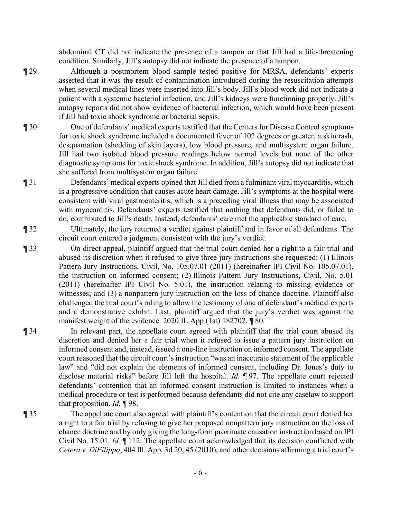abdominal CT did not indicate the presence of a tampon or that Jill had a life-threatening condition. Similarly, Jill's autopsy did not indicate the presence of a tampon.

¶ 29 Although a postmortem blood sample tested positive for MRSA, defendants' experts asserted that it was the result of contamination introduced during the resuscitation attempts when several medical lines were inserted into Jill's body. Jill's blood work did not indicate a patient with a systemic bacterial infection, and Jill's kidneys were functioning properly. Jill's autopsy reports did not show evidence of bacterial infection, which would have been present if Jill had toxic shock syndrome or bacterial sepsis.

- ¶ 30 One of defendants' medical experts testified that the Centers for Disease Control symptoms for toxic shock syndrome included a documented fever of 102 degrees or greater, a skin rash, desquamation (shedding of skin layers), low blood pressure, and multisystem organ failure. Jill had two isolated blood pressure readings below normal levels but none of the other diagnostic symptoms for toxic shock syndrome. In addition, Jill's autopsy did not indicate that she suffered from multisystem organ failure.
- ¶ 31 Defendants' medical experts opined that Jill died from a fulminant viral myocarditis, which is a progressive condition that causes acute heart damage. Jill's symptoms at the hospital were consistent with viral gastroenteritis, which is a preceding viral illness that may be associated with myocarditis. Defendants' experts testified that nothing that defendants did, or failed to do, contributed to Jill's death. Instead, defendants' care met the applicable standard of care.
- ¶ 32 Ultimately, the jury returned a verdict against plaintiff and in favor of all defendants. The circuit court entered a judgment consistent with the jury's verdict.
- ¶ 33 On direct appeal, plaintiff argued that the trial court denied her a right to a fair trial and abused its discretion when it refused to give three jury instructions she requested: (1) Illinois Pattern Jury Instructions, Civil, No. 105.07.01 (2011) (hereinafter IPI Civil No. 105.07.01), the instruction on informed consent; (2) Illinois Pattern Jury Instructions, Civil, No. 5.01 (2011) (hereinafter IPI Civil No. 5.01), the instruction relating to missing evidence or witnesses; and (3) a nonpattern jury instruction on the loss of chance doctrine. Plaintiff also challenged the trial court's ruling to allow the testimony of one of defendant's medical experts and a demonstrative exhibit. Last, plaintiff argued that the jury's verdict was against the manifest weight of the evidence. 2020 IL App (1st) 182702, ¶ 80.
- ¶ 34 In relevant part, the appellate court agreed with plaintiff that the trial court abused its discretion and denied her a fair trial when it refused to issue a pattern jury instruction on informed consent and, instead, issued a one-line instruction on informed consent. The appellate court reasoned that the circuit court's instruction "was an inaccurate statement of the applicable law" and "did not explain the elements of informed consent, including Dr. Jones's duty to disclose material risks" before Jill left the hospital. *Id.* ¶ 97. The appellate court rejected defendants' contention that an informed consent instruction is limited to instances when a medical procedure or test is performed because defendants did not cite any caselaw to support that proposition. *Id.* ¶ 98.
- 

¶ 35 The appellate court also agreed with plaintiff's contention that the circuit court denied her a right to a fair trial by refusing to give her proposed nonpattern jury instruction on the loss of chance doctrine and by only giving the long-form proximate causation instruction based on IPI Civil No. 15.01. *Id.* ¶ 112. The appellate court acknowledged that its decision conflicted with *Cetera v. DiFilippo*, 404 Ill. App. 3d 20, 45 (2010), and other decisions affirming a trial court's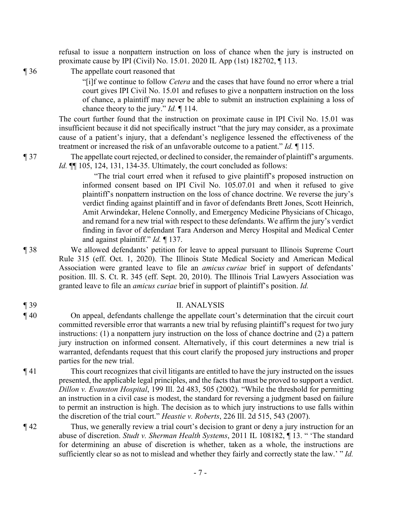refusal to issue a nonpattern instruction on loss of chance when the jury is instructed on proximate cause by IPI (Civil) No. 15.01. 2020 IL App (1st) 182702, ¶ 113.

¶ 36 The appellate court reasoned that

"[i]f we continue to follow *Cetera* and the cases that have found no error where a trial court gives IPI Civil No. 15.01 and refuses to give a nonpattern instruction on the loss of chance, a plaintiff may never be able to submit an instruction explaining a loss of chance theory to the jury." *Id.* ¶ 114.

The court further found that the instruction on proximate cause in IPI Civil No. 15.01 was insufficient because it did not specifically instruct "that the jury may consider, as a proximate cause of a patient's injury, that a defendant's negligence lessened the effectiveness of the treatment or increased the risk of an unfavorable outcome to a patient." *Id.* ¶ 115.

¶ 37 The appellate court rejected, or declined to consider, the remainder of plaintiff's arguments. *Id.* **[11** 105, 124, 131, 134-35. Ultimately, the court concluded as follows:

> "The trial court erred when it refused to give plaintiff's proposed instruction on informed consent based on IPI Civil No. 105.07.01 and when it refused to give plaintiff's nonpattern instruction on the loss of chance doctrine. We reverse the jury's verdict finding against plaintiff and in favor of defendants Brett Jones, Scott Heinrich, Amit Arwindekar, Helene Connolly, and Emergency Medicine Physicians of Chicago, and remand for a new trial with respect to these defendants. We affirm the jury's verdict finding in favor of defendant Tara Anderson and Mercy Hospital and Medical Center and against plaintiff." *Id.* ¶ 137.

¶ 38 We allowed defendants' petition for leave to appeal pursuant to Illinois Supreme Court Rule 315 (eff. Oct. 1, 2020). The Illinois State Medical Society and American Medical Association were granted leave to file an *amicus curiae* brief in support of defendants' position. Ill. S. Ct. R. 345 (eff. Sept. 20, 2010). The Illinois Trial Lawyers Association was granted leave to file an *amicus curiae* brief in support of plaintiff's position. *Id.*

¶ 39 II. ANALYSIS

¶ 40 On appeal, defendants challenge the appellate court's determination that the circuit court committed reversible error that warrants a new trial by refusing plaintiff's request for two jury instructions: (1) a nonpattern jury instruction on the loss of chance doctrine and (2) a pattern jury instruction on informed consent. Alternatively, if this court determines a new trial is warranted, defendants request that this court clarify the proposed jury instructions and proper parties for the new trial.

¶ 41 This court recognizes that civil litigants are entitled to have the jury instructed on the issues presented, the applicable legal principles, and the facts that must be proved to support a verdict. *Dillon v. Evanston Hospital*, 199 Ill. 2d 483, 505 (2002). "While the threshold for permitting an instruction in a civil case is modest, the standard for reversing a judgment based on failure to permit an instruction is high. The decision as to which jury instructions to use falls within the discretion of the trial court." *Heastie v. Roberts*, 226 Ill. 2d 515, 543 (2007).

¶ 42 Thus, we generally review a trial court's decision to grant or deny a jury instruction for an abuse of discretion. *Studt v. Sherman Health Systems*, 2011 IL 108182, ¶ 13. " 'The standard for determining an abuse of discretion is whether, taken as a whole, the instructions are sufficiently clear so as not to mislead and whether they fairly and correctly state the law.' " *Id.*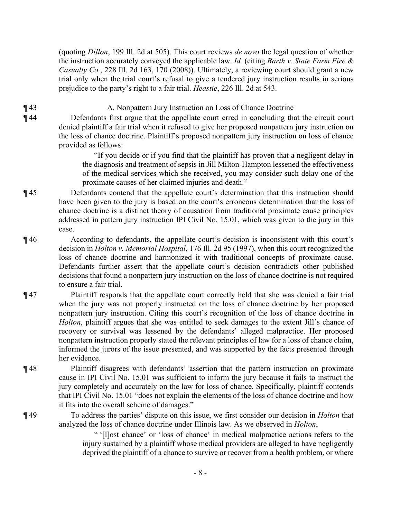(quoting *Dillon*, 199 Ill. 2d at 505). This court reviews *de novo* the legal question of whether the instruction accurately conveyed the applicable law. *Id.* (citing *Barth v. State Farm Fire & Casualty Co.*, 228 Ill. 2d 163, 170 (2008)). Ultimately, a reviewing court should grant a new trial only when the trial court's refusal to give a tendered jury instruction results in serious prejudice to the party's right to a fair trial. *Heastie*, 226 Ill. 2d at 543.

¶ 43 A. Nonpattern Jury Instruction on Loss of Chance Doctrine

¶ 44 Defendants first argue that the appellate court erred in concluding that the circuit court denied plaintiff a fair trial when it refused to give her proposed nonpattern jury instruction on the loss of chance doctrine. Plaintiff's proposed nonpattern jury instruction on loss of chance provided as follows:

> "If you decide or if you find that the plaintiff has proven that a negligent delay in the diagnosis and treatment of sepsis in Jill Milton-Hampton lessened the effectiveness of the medical services which she received, you may consider such delay one of the proximate causes of her claimed injuries and death."

- ¶ 45 Defendants contend that the appellate court's determination that this instruction should have been given to the jury is based on the court's erroneous determination that the loss of chance doctrine is a distinct theory of causation from traditional proximate cause principles addressed in pattern jury instruction IPI Civil No. 15.01, which was given to the jury in this case.
- ¶ 46 According to defendants, the appellate court's decision is inconsistent with this court's decision in *Holton v. Memorial Hospital*, 176 Ill. 2d 95 (1997), when this court recognized the loss of chance doctrine and harmonized it with traditional concepts of proximate cause. Defendants further assert that the appellate court's decision contradicts other published decisions that found a nonpattern jury instruction on the loss of chance doctrine is not required to ensure a fair trial.
- ¶ 47 Plaintiff responds that the appellate court correctly held that she was denied a fair trial when the jury was not properly instructed on the loss of chance doctrine by her proposed nonpattern jury instruction. Citing this court's recognition of the loss of chance doctrine in *Holton*, plaintiff argues that she was entitled to seek damages to the extent Jill's chance of recovery or survival was lessened by the defendants' alleged malpractice. Her proposed nonpattern instruction properly stated the relevant principles of law for a loss of chance claim, informed the jurors of the issue presented, and was supported by the facts presented through her evidence.
- ¶ 48 Plaintiff disagrees with defendants' assertion that the pattern instruction on proximate cause in IPI Civil No. 15.01 was sufficient to inform the jury because it fails to instruct the jury completely and accurately on the law for loss of chance. Specifically, plaintiff contends that IPI Civil No. 15.01 "does not explain the elements of the loss of chance doctrine and how it fits into the overall scheme of damages."
- ¶ 49 To address the parties' dispute on this issue, we first consider our decision in *Holton* that analyzed the loss of chance doctrine under Illinois law. As we observed in *Holton*,

" '[l]ost chance' or 'loss of chance' in medical malpractice actions refers to the injury sustained by a plaintiff whose medical providers are alleged to have negligently deprived the plaintiff of a chance to survive or recover from a health problem, or where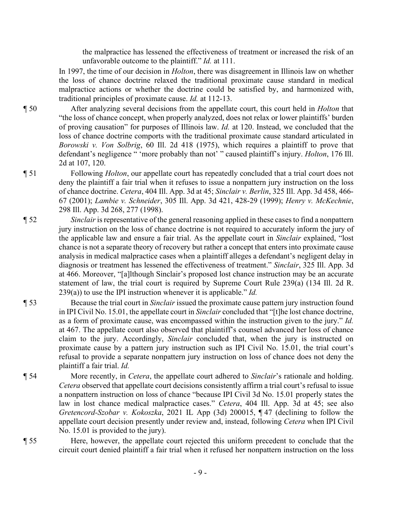the malpractice has lessened the effectiveness of treatment or increased the risk of an unfavorable outcome to the plaintiff." *Id.* at 111.

In 1997, the time of our decision in *Holton*, there was disagreement in Illinois law on whether the loss of chance doctrine relaxed the traditional proximate cause standard in medical malpractice actions or whether the doctrine could be satisfied by, and harmonized with, traditional principles of proximate cause. *Id.* at 112-13.

¶ 50 After analyzing several decisions from the appellate court, this court held in *Holton* that "the loss of chance concept, when properly analyzed, does not relax or lower plaintiffs' burden of proving causation" for purposes of Illinois law. *Id.* at 120. Instead, we concluded that the loss of chance doctrine comports with the traditional proximate cause standard articulated in *Borowski v. Von Solbrig*, 60 Ill. 2d 418 (1975), which requires a plaintiff to prove that defendant's negligence " 'more probably than not' " caused plaintiff's injury. *Holton*, 176 Ill. 2d at 107, 120.

¶ 51 Following *Holton*, our appellate court has repeatedly concluded that a trial court does not deny the plaintiff a fair trial when it refuses to issue a nonpattern jury instruction on the loss of chance doctrine. *Cetera*, 404 Ill. App. 3d at 45; *Sinclair v. Berlin*, 325 Ill. App. 3d 458, 466- 67 (2001); *Lambie v. Schneider*, 305 Ill. App. 3d 421, 428-29 (1999); *Henry v. McKechnie*, 298 Ill. App. 3d 268, 277 (1998).

- ¶ 52 *Sinclair* is representative of the general reasoning applied in these cases to find a nonpattern jury instruction on the loss of chance doctrine is not required to accurately inform the jury of the applicable law and ensure a fair trial. As the appellate court in *Sinclair* explained, "lost chance is not a separate theory of recovery but rather a concept that enters into proximate cause analysis in medical malpractice cases when a plaintiff alleges a defendant's negligent delay in diagnosis or treatment has lessened the effectiveness of treatment." *Sinclair*, 325 Ill. App. 3d at 466. Moreover, "[a]lthough Sinclair's proposed lost chance instruction may be an accurate statement of law, the trial court is required by Supreme Court Rule 239(a) (134 Ill. 2d R. 239(a)) to use the IPI instruction whenever it is applicable." *Id.*
- ¶ 53 Because the trial court in *Sinclair* issued the proximate cause pattern jury instruction found in IPI Civil No. 15.01, the appellate court in *Sinclair* concluded that "[t]he lost chance doctrine, as a form of proximate cause, was encompassed within the instruction given to the jury." *Id.*  at 467. The appellate court also observed that plaintiff's counsel advanced her loss of chance claim to the jury. Accordingly, *Sinclair* concluded that, when the jury is instructed on proximate cause by a pattern jury instruction such as IPI Civil No. 15.01, the trial court's refusal to provide a separate nonpattern jury instruction on loss of chance does not deny the plaintiff a fair trial. *Id.*
- ¶ 54 More recently, in *Cetera*, the appellate court adhered to *Sinclair*'s rationale and holding. *Cetera* observed that appellate court decisions consistently affirm a trial court's refusal to issue a nonpattern instruction on loss of chance "because IPI Civil 3d No. 15.01 properly states the law in lost chance medical malpractice cases." *Cetera*, 404 Ill. App. 3d at 45; see also *Gretencord-Szobar v. Kokoszka*, 2021 IL App (3d) 200015, ¶ 47 (declining to follow the appellate court decision presently under review and, instead, following *Cetera* when IPI Civil No. 15.01 is provided to the jury).
- 

¶ 55 Here, however, the appellate court rejected this uniform precedent to conclude that the circuit court denied plaintiff a fair trial when it refused her nonpattern instruction on the loss

- 9 -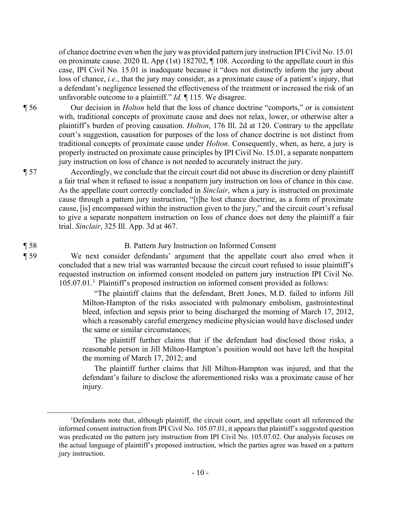of chance doctrine even when the jury was provided pattern jury instruction IPI Civil No. 15.01 on proximate cause. 2020 IL App (1st) 182702, ¶ 108. According to the appellate court in this case, IPI Civil No. 15.01 is inadequate because it "does not distinctly inform the jury about loss of chance, *i.e.*, that the jury may consider, as a proximate cause of a patient's injury, that a defendant's negligence lessened the effectiveness of the treatment or increased the risk of an unfavorable outcome to a plaintiff." *Id.* ¶ 115. We disagree.

¶ 56 Our decision in *Holton* held that the loss of chance doctrine "comports," or is consistent with, traditional concepts of proximate cause and does not relax, lower, or otherwise alter a plaintiff's burden of proving causation. *Holton*, 176 Ill. 2d at 120. Contrary to the appellate court's suggestion, causation for purposes of the loss of chance doctrine is not distinct from traditional concepts of proximate cause under *Holton*. Consequently, when, as here, a jury is properly instructed on proximate cause principles by IPI Civil No. 15.01, a separate nonpattern jury instruction on loss of chance is not needed to accurately instruct the jury.

¶ 57 Accordingly, we conclude that the circuit court did not abuse its discretion or deny plaintiff a fair trial when it refused to issue a nonpattern jury instruction on loss of chance in this case. As the appellate court correctly concluded in *Sinclair*, when a jury is instructed on proximate cause through a pattern jury instruction, "[t]he lost chance doctrine, as a form of proximate cause, [is] encompassed within the instruction given to the jury," and the circuit court's refusal to give a separate nonpattern instruction on loss of chance does not deny the plaintiff a fair trial. *Sinclair*, 325 Ill. App. 3d at 467.

## ¶ 58 B. Pattern Jury Instruction on Informed Consent

¶ 59 We next consider defendants' argument that the appellate court also erred when it concluded that a new trial was warranted because the circuit court refused to issue plaintiff's requested instruction on informed consent modeled on pattern jury instruction IPI Civil No. 105.07.01.<sup>1</sup> Plaintiff's proposed instruction on informed consent provided as follows:

> "The plaintiff claims that the defendant, Brett Jones, M.D. failed to inform Jill Milton-Hampton of the risks associated with pulmonary embolism, gastrointestinal bleed, infection and sepsis prior to being discharged the morning of March 17, 2012, which a reasonably careful emergency medicine physician would have disclosed under the same or similar circumstances;

> The plaintiff further claims that if the defendant had disclosed those risks, a reasonable person in Jill Milton-Hampton's position would not have left the hospital the morning of March 17, 2012; and

> The plaintiff further claims that Jill Milton-Hampton was injured, and that the defendant's failure to disclose the aforementioned risks was a proximate cause of her injury.

<sup>&</sup>lt;sup>1</sup>Defendants note that, although plaintiff, the circuit court, and appellate court all referenced the informed consent instruction from IPI Civil No. 105.07.01, it appears that plaintiff's suggested question was predicated on the pattern jury instruction from IPI Civil No. 105.07.02. Our analysis focuses on the actual language of plaintiff's proposed instruction, which the parties agree was based on a pattern jury instruction.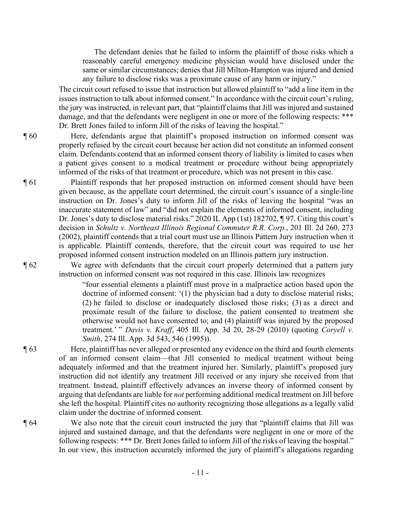The defendant denies that he failed to inform the plaintiff of those risks which a reasonably careful emergency medicine physician would have disclosed under the same or similar circumstances; denies that Jill Milton-Hampton was injured and denied any failure to disclose risks was a proximate cause of any harm or injury."

The circuit court refused to issue that instruction but allowed plaintiff to "add a line item in the issues instruction to talk about informed consent." In accordance with the circuit court's ruling, the jury was instructed, in relevant part, that "plaintiff claims that Jill was injured and sustained damage, and that the defendants were negligent in one or more of the following respects: \*\*\* Dr. Brett Jones failed to inform Jill of the risks of leaving the hospital."

¶ 60 Here, defendants argue that plaintiff's proposed instruction on informed consent was properly refused by the circuit court because her action did not constitute an informed consent claim. Defendants contend that an informed consent theory of liability is limited to cases when a patient gives consent to a medical treatment or procedure without being appropriately informed of the risks of that treatment or procedure, which was not present in this case.

¶ 61 Plaintiff responds that her proposed instruction on informed consent should have been given because, as the appellate court determined, the circuit court's issuance of a single-line instruction on Dr. Jones's duty to inform Jill of the risks of leaving the hospital "was an inaccurate statement of law" and "did not explain the elements of informed consent, including Dr. Jones's duty to disclose material risks." 2020 IL App (1st) 182702, ¶ 97. Citing this court's decision in *Schultz v. Northeast Illinois Regional Commuter R.R. Corp.*, 201 Ill. 2d 260, 273 (2002), plaintiff contends that a trial court must use an Illinois Pattern Jury instruction when it is applicable. Plaintiff contends, therefore, that the circuit court was required to use her proposed informed consent instruction modeled on an Illinois pattern jury instruction.

¶ 62 We agree with defendants that the circuit court properly determined that a pattern jury instruction on informed consent was not required in this case. Illinois law recognizes

> "four essential elements a plaintiff must prove in a malpractice action based upon the doctrine of informed consent: '(1) the physician had a duty to disclose material risks; (2) he failed to disclose or inadequately disclosed those risks; (3) as a direct and proximate result of the failure to disclose, the patient consented to treatment she otherwise would not have consented to; and (4) plaintiff was injured by the proposed treatment.' " *Davis v. Kraff*, 405 Ill. App. 3d 20, 28-29 (2010) (quoting *Coryell v. Smith*, 274 Ill. App. 3d 543, 546 (1995)).

¶ 63 Here, plaintiff has never alleged or presented any evidence on the third and fourth elements of an informed consent claim—that Jill consented to medical treatment without being adequately informed and that the treatment injured her. Similarly, plaintiff's proposed jury instruction did not identify any treatment Jill received or any injury she received from that treatment. Instead, plaintiff effectively advances an inverse theory of informed consent by arguing that defendants are liable for *not* performing additional medical treatment on Jill before she left the hospital. Plaintiff cites no authority recognizing those allegations as a legally valid claim under the doctrine of informed consent.

¶ 64 We also note that the circuit court instructed the jury that "plaintiff claims that Jill was injured and sustained damage, and that the defendants were negligent in one or more of the following respects: \*\*\* Dr. Brett Jones failed to inform Jill of the risks of leaving the hospital." In our view, this instruction accurately informed the jury of plaintiff's allegations regarding